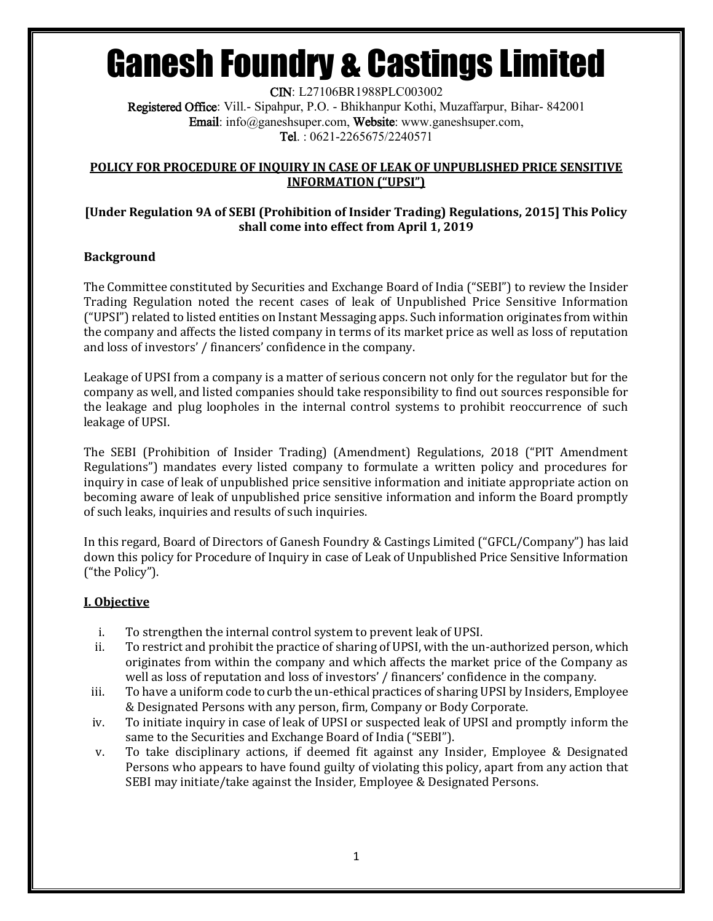CIN: L27106BR1988PLC003002 Registered Office: Vill.- Sipahpur, P.O. - Bhikhanpur Kothi, Muzaffarpur, Bihar- 842001 Email: info@ganeshsuper.com, Website: www.ganeshsuper.com, Tel. : 0621-2265675/2240571

### **POLICY FOR PROCEDURE OF INQUIRY IN CASE OF LEAK OF UNPUBLISHED PRICE SENSITIVE INFORMATION ("UPSI")**

### **[Under Regulation 9A of SEBI (Prohibition of Insider Trading) Regulations, 2015] This Policy shall come into effect from April 1, 2019**

## **Background**

The Committee constituted by Securities and Exchange Board of India ("SEBI") to review the Insider Trading Regulation noted the recent cases of leak of Unpublished Price Sensitive Information ("UPSI") related to listed entities on Instant Messaging apps. Such information originates from within the company and affects the listed company in terms of its market price as well as loss of reputation and loss of investors' / financers' confidence in the company.

Leakage of UPSI from a company is a matter of serious concern not only for the regulator but for the company as well, and listed companies should take responsibility to find out sources responsible for the leakage and plug loopholes in the internal control systems to prohibit reoccurrence of such leakage of UPSI.

The SEBI (Prohibition of Insider Trading) (Amendment) Regulations, 2018 ("PIT Amendment Regulations") mandates every listed company to formulate a written policy and procedures for inquiry in case of leak of unpublished price sensitive information and initiate appropriate action on becoming aware of leak of unpublished price sensitive information and inform the Board promptly of such leaks, inquiries and results of such inquiries.

In this regard, Board of Directors of Ganesh Foundry & Castings Limited ("GFCL/Company") has laid down this policy for Procedure of Inquiry in case of Leak of Unpublished Price Sensitive Information ("the Policy").

## **I. Objective**

- i. To strengthen the internal control system to prevent leak of UPSI.
- ii. To restrict and prohibit the practice of sharing of UPSI, with the un-authorized person, which originates from within the company and which affects the market price of the Company as well as loss of reputation and loss of investors' / financers' confidence in the company.
- iii. To have a uniform code to curb the un-ethical practices of sharing UPSI by Insiders, Employee & Designated Persons with any person, firm, Company or Body Corporate.
- iv. To initiate inquiry in case of leak of UPSI or suspected leak of UPSI and promptly inform the same to the Securities and Exchange Board of India ("SEBI").
- v. To take disciplinary actions, if deemed fit against any Insider, Employee & Designated Persons who appears to have found guilty of violating this policy, apart from any action that SEBI may initiate/take against the Insider, Employee & Designated Persons.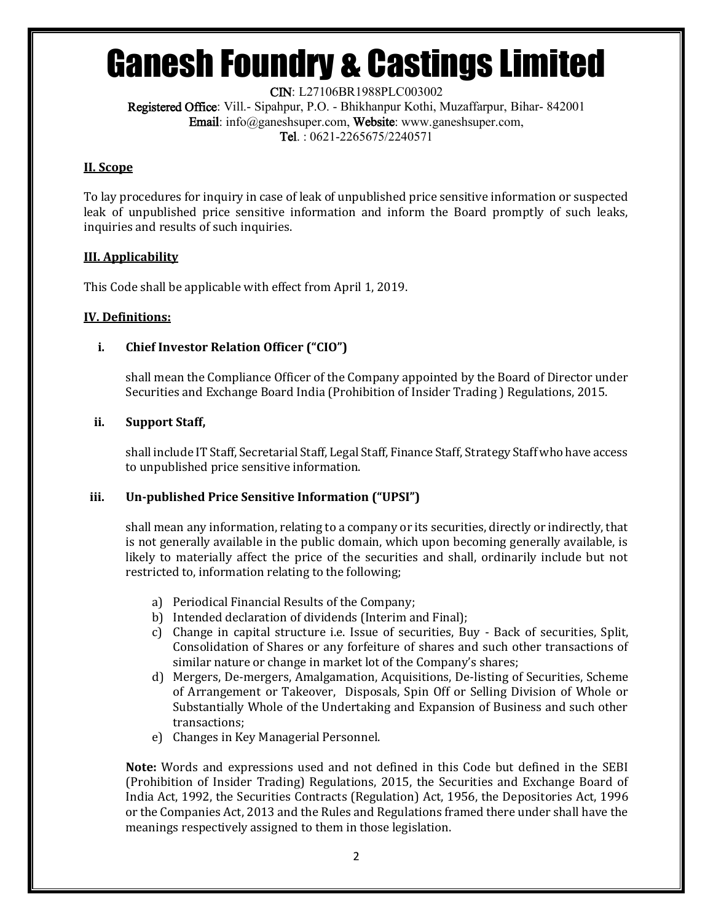CIN: L27106BR1988PLC003002 Registered Office: Vill.- Sipahpur, P.O. - Bhikhanpur Kothi, Muzaffarpur, Bihar- 842001 Email: info@ganeshsuper.com, Website: www.ganeshsuper.com, Tel. : 0621-2265675/2240571

### **II. Scope**

To lay procedures for inquiry in case of leak of unpublished price sensitive information or suspected leak of unpublished price sensitive information and inform the Board promptly of such leaks, inquiries and results of such inquiries.

## **III. Applicability**

This Code shall be applicable with effect from April 1, 2019.

## **IV. Definitions:**

## **i. Chief Investor Relation Officer ("CIO")**

shall mean the Compliance Officer of the Company appointed by the Board of Director under Securities and Exchange Board India (Prohibition of Insider Trading ) Regulations, 2015.

### **ii. Support Staff,**

shall include IT Staff, Secretarial Staff, Legal Staff, Finance Staff, Strategy Staff who have access to unpublished price sensitive information.

### **iii. Un-published Price Sensitive Information ("UPSI")**

shall mean any information, relating to a company or its securities, directly or indirectly, that is not generally available in the public domain, which upon becoming generally available, is likely to materially affect the price of the securities and shall, ordinarily include but not restricted to, information relating to the following;

- a) Periodical Financial Results of the Company;
- b) Intended declaration of dividends (Interim and Final);
- c) Change in capital structure i.e. Issue of securities, Buy Back of securities, Split, Consolidation of Shares or any forfeiture of shares and such other transactions of similar nature or change in market lot of the Company's shares;
- d) Mergers, De-mergers, Amalgamation, Acquisitions, De-listing of Securities, Scheme of Arrangement or Takeover, Disposals, Spin Off or Selling Division of Whole or Substantially Whole of the Undertaking and Expansion of Business and such other transactions;
- e) Changes in Key Managerial Personnel.

**Note:** Words and expressions used and not defined in this Code but defined in the SEBI (Prohibition of Insider Trading) Regulations, 2015, the Securities and Exchange Board of India Act, 1992, the Securities Contracts (Regulation) Act, 1956, the Depositories Act, 1996 or the Companies Act, 2013 and the Rules and Regulations framed there under shall have the meanings respectively assigned to them in those legislation.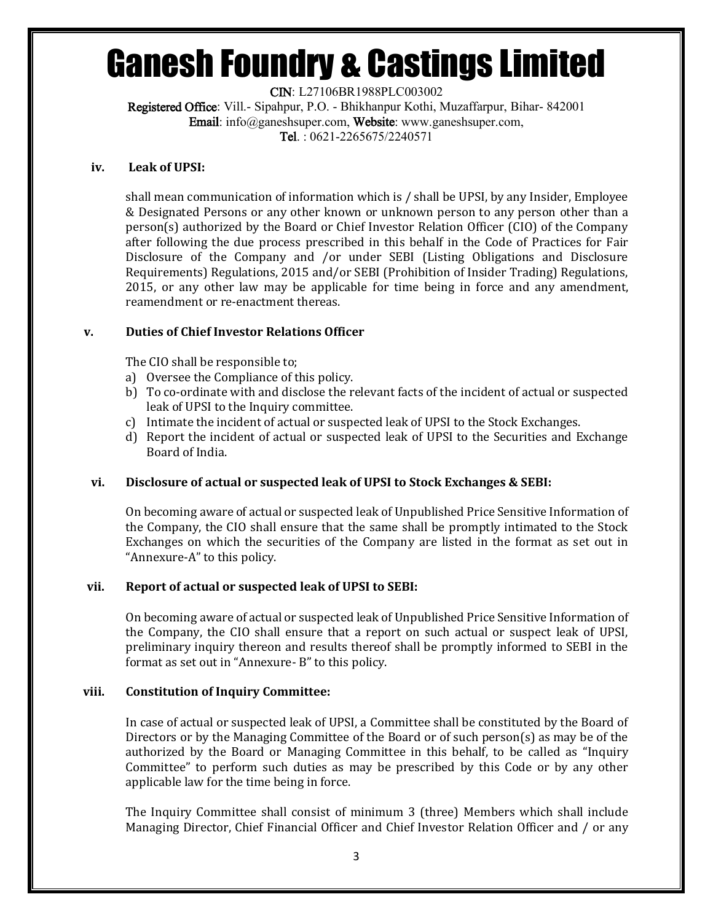CIN: L27106BR1988PLC003002 Registered Office: Vill.- Sipahpur, P.O. - Bhikhanpur Kothi, Muzaffarpur, Bihar- 842001 Email: info@ganeshsuper.com, Website: www.ganeshsuper.com, Tel. : 0621-2265675/2240571

#### **iv. Leak of UPSI:**

shall mean communication of information which is / shall be UPSI, by any Insider, Employee & Designated Persons or any other known or unknown person to any person other than a person(s) authorized by the Board or Chief Investor Relation Officer (CIO) of the Company after following the due process prescribed in this behalf in the Code of Practices for Fair Disclosure of the Company and /or under SEBI (Listing Obligations and Disclosure Requirements) Regulations, 2015 and/or SEBI (Prohibition of Insider Trading) Regulations, 2015, or any other law may be applicable for time being in force and any amendment, reamendment or re-enactment thereas.

### **v. Duties of Chief Investor Relations Officer**

The CIO shall be responsible to;

- a) Oversee the Compliance of this policy.
- b) To co-ordinate with and disclose the relevant facts of the incident of actual or suspected leak of UPSI to the Inquiry committee.
- c) Intimate the incident of actual or suspected leak of UPSI to the Stock Exchanges.
- d) Report the incident of actual or suspected leak of UPSI to the Securities and Exchange Board of India.

### **vi. Disclosure of actual or suspected leak of UPSI to Stock Exchanges & SEBI:**

On becoming aware of actual or suspected leak of Unpublished Price Sensitive Information of the Company, the CIO shall ensure that the same shall be promptly intimated to the Stock Exchanges on which the securities of the Company are listed in the format as set out in "Annexure-A" to this policy.

#### **vii. Report of actual or suspected leak of UPSI to SEBI:**

On becoming aware of actual or suspected leak of Unpublished Price Sensitive Information of the Company, the CIO shall ensure that a report on such actual or suspect leak of UPSI, preliminary inquiry thereon and results thereof shall be promptly informed to SEBI in the format as set out in "Annexure- B" to this policy.

#### **viii. Constitution of Inquiry Committee:**

In case of actual or suspected leak of UPSI, a Committee shall be constituted by the Board of Directors or by the Managing Committee of the Board or of such person(s) as may be of the authorized by the Board or Managing Committee in this behalf, to be called as "Inquiry Committee" to perform such duties as may be prescribed by this Code or by any other applicable law for the time being in force.

The Inquiry Committee shall consist of minimum 3 (three) Members which shall include Managing Director, Chief Financial Officer and Chief Investor Relation Officer and / or any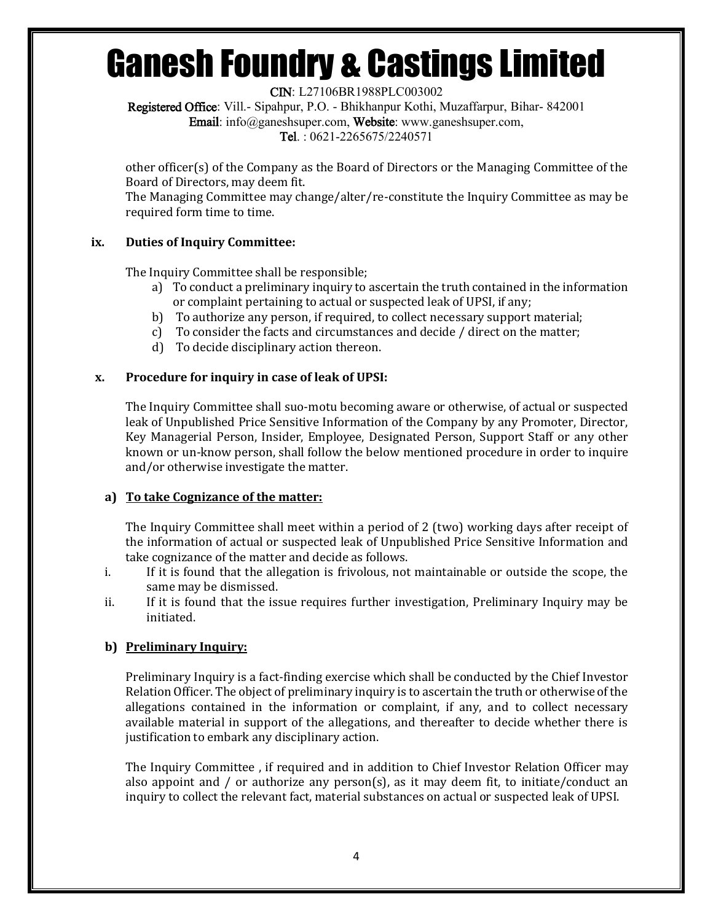CIN: L27106BR1988PLC003002

Registered Office: Vill.- Sipahpur, P.O. - Bhikhanpur Kothi, Muzaffarpur, Bihar- 842001 Email: info@ganeshsuper.com, Website: www.ganeshsuper.com,

Tel. : 0621-2265675/2240571

other officer(s) of the Company as the Board of Directors or the Managing Committee of the Board of Directors, may deem fit.

The Managing Committee may change/alter/re-constitute the Inquiry Committee as may be required form time to time.

## **ix. Duties of Inquiry Committee:**

The Inquiry Committee shall be responsible;

- a) To conduct a preliminary inquiry to ascertain the truth contained in the information or complaint pertaining to actual or suspected leak of UPSI, if any;
- b) To authorize any person, if required, to collect necessary support material;
- c) To consider the facts and circumstances and decide / direct on the matter;
- d) To decide disciplinary action thereon.

### **x. Procedure for inquiry in case of leak of UPSI:**

The Inquiry Committee shall suo-motu becoming aware or otherwise, of actual or suspected leak of Unpublished Price Sensitive Information of the Company by any Promoter, Director, Key Managerial Person, Insider, Employee, Designated Person, Support Staff or any other known or un-know person, shall follow the below mentioned procedure in order to inquire and/or otherwise investigate the matter.

### **a) To take Cognizance of the matter:**

The Inquiry Committee shall meet within a period of 2 (two) working days after receipt of the information of actual or suspected leak of Unpublished Price Sensitive Information and take cognizance of the matter and decide as follows.

- i. If it is found that the allegation is frivolous, not maintainable or outside the scope, the same may be dismissed.
- ii. If it is found that the issue requires further investigation, Preliminary Inquiry may be initiated.

## **b) Preliminary Inquiry:**

Preliminary Inquiry is a fact-finding exercise which shall be conducted by the Chief Investor Relation Officer. The object of preliminary inquiry is to ascertain the truth or otherwise of the allegations contained in the information or complaint, if any, and to collect necessary available material in support of the allegations, and thereafter to decide whether there is justification to embark any disciplinary action.

The Inquiry Committee , if required and in addition to Chief Investor Relation Officer may also appoint and / or authorize any person(s), as it may deem fit, to initiate/conduct an inquiry to collect the relevant fact, material substances on actual or suspected leak of UPSI.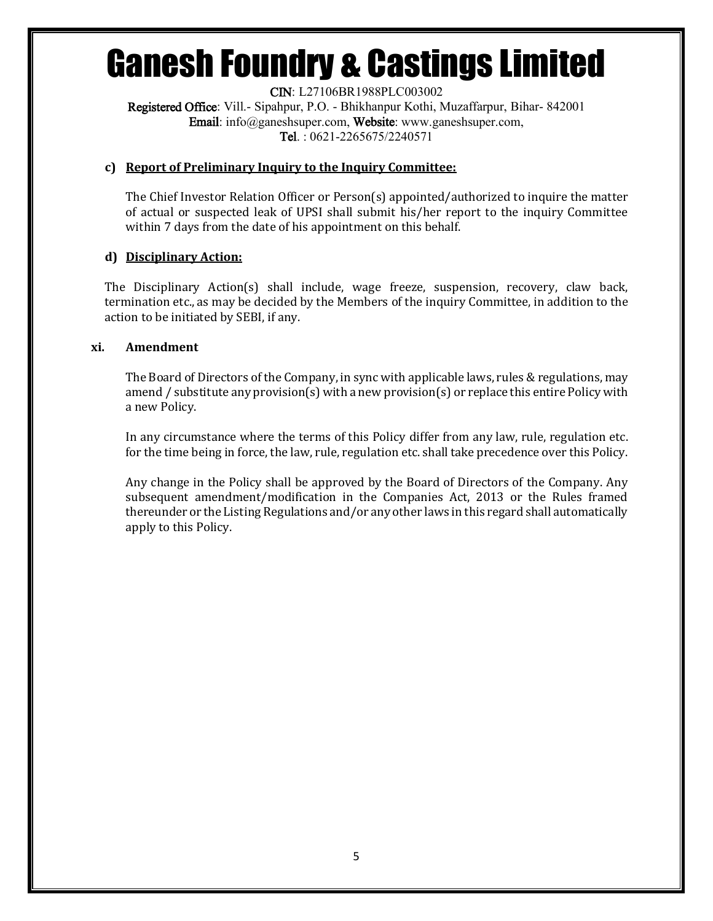CIN: L27106BR1988PLC003002 Registered Office: Vill.- Sipahpur, P.O. - Bhikhanpur Kothi, Muzaffarpur, Bihar- 842001 Email: info@ganeshsuper.com, Website: www.ganeshsuper.com, Tel. : 0621-2265675/2240571

#### **c) Report of Preliminary Inquiry to the Inquiry Committee:**

The Chief Investor Relation Officer or Person(s) appointed/authorized to inquire the matter of actual or suspected leak of UPSI shall submit his/her report to the inquiry Committee within 7 days from the date of his appointment on this behalf.

### **d) Disciplinary Action:**

The Disciplinary Action(s) shall include, wage freeze, suspension, recovery, claw back, termination etc., as may be decided by the Members of the inquiry Committee, in addition to the action to be initiated by SEBI, if any.

#### **xi. Amendment**

The Board of Directors of the Company, in sync with applicable laws, rules & regulations, may amend / substitute any provision(s) with a new provision(s) or replace this entire Policy with a new Policy.

In any circumstance where the terms of this Policy differ from any law, rule, regulation etc. for the time being in force, the law, rule, regulation etc. shall take precedence over this Policy.

Any change in the Policy shall be approved by the Board of Directors of the Company. Any subsequent amendment/modification in the Companies Act, 2013 or the Rules framed thereunder or the Listing Regulations and/or any other laws in this regard shall automatically apply to this Policy.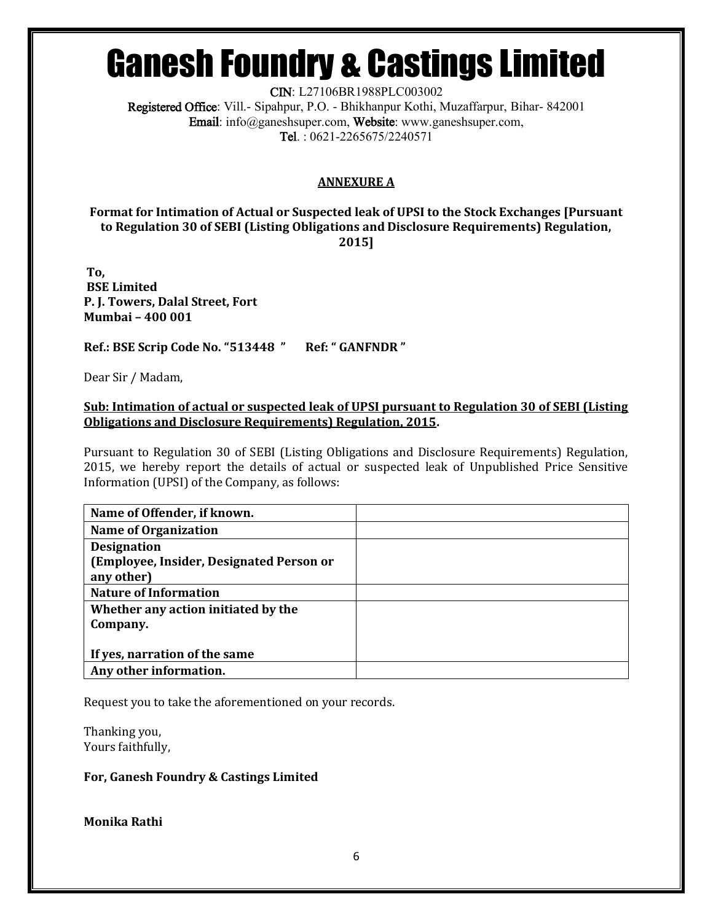CIN: L27106BR1988PLC003002

Registered Office: Vill.- Sipahpur, P.O. - Bhikhanpur Kothi, Muzaffarpur, Bihar- 842001 Email: info@ganeshsuper.com, Website: www.ganeshsuper.com, Tel. : 0621-2265675/2240571

## **ANNEXURE A**

**Format for Intimation of Actual or Suspected leak of UPSI to the Stock Exchanges [Pursuant to Regulation 30 of SEBI (Listing Obligations and Disclosure Requirements) Regulation, 2015]**

**To, BSE Limited P. J. Towers, Dalal Street, Fort Mumbai – 400 001**

**Ref.: BSE Scrip Code No. "513448 " Ref: " GANFNDR "** 

Dear Sir / Madam,

**Sub: Intimation of actual or suspected leak of UPSI pursuant to Regulation 30 of SEBI (Listing Obligations and Disclosure Requirements) Regulation, 2015.**

Pursuant to Regulation 30 of SEBI (Listing Obligations and Disclosure Requirements) Regulation, 2015, we hereby report the details of actual or suspected leak of Unpublished Price Sensitive Information (UPSI) of the Company, as follows:

| Name of Offender, if known.              |  |
|------------------------------------------|--|
| <b>Name of Organization</b>              |  |
| <b>Designation</b>                       |  |
| (Employee, Insider, Designated Person or |  |
| any other)                               |  |
| <b>Nature of Information</b>             |  |
| Whether any action initiated by the      |  |
| Company.                                 |  |
|                                          |  |
| If yes, narration of the same            |  |
| Any other information.                   |  |

Request you to take the aforementioned on your records.

Thanking you, Yours faithfully,

### **For, Ganesh Foundry & Castings Limited**

**Monika Rathi**